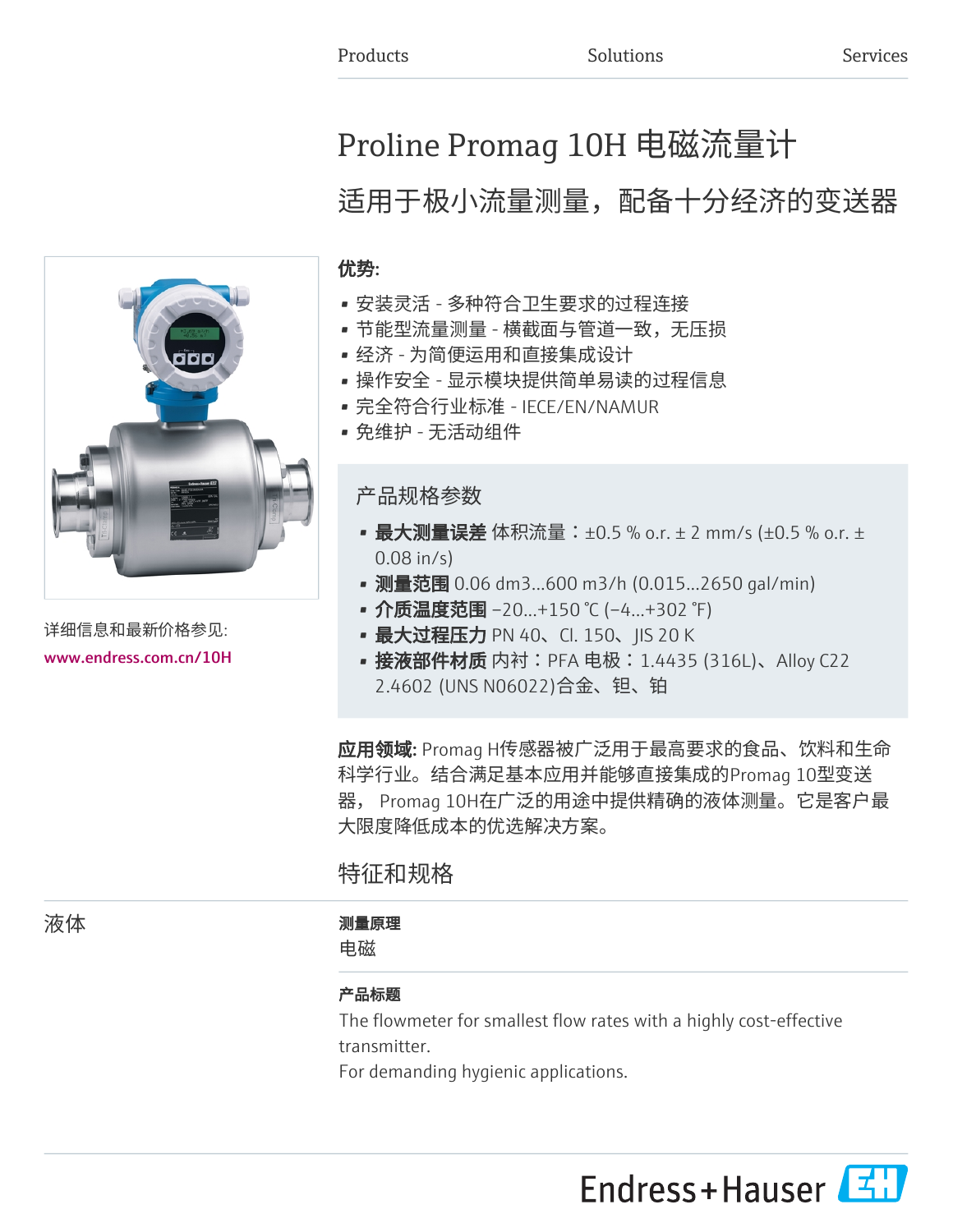# Proline Promag 10H 电磁流量计

# 适用于极小流量测量,配备十分经济的变送器

### 优势:

- 安装灵活 多种符合卫生要求的过程连接
- 节能型流量测量 横截面与管道一致,无压损
- 经济 为简便运用和直接集成设计
- 操作安全 显示模块提供简单易读的过程信息
- 完全符合行业标准 IECE/EN/NAMUR
- 免维护 无活动组件

产品规格参数

- 最大测量误差 体积流量: ±0.5 % o.r. ± 2 mm/s (±0.5 % o.r. ± 0.08 in/s)
- 测量范围 0.06 dm3...600 m3/h (0.015...2650 gal/min)
- 介质温度范围 –20...+150 ℃ (–4...+302 ℉)
- 最大过程压力 PN 40、Cl. 150、JIS 20 K
- 接液部件材质 内衬:PFA 电极:1.4435 (316L)、Alloy C22 2.4602 (UNS N06022)合金、钽、铂

应用领域: Promag H传感器被广泛用于最高要求的食品、饮料和生命 科学行业。结合满足基本应用并能够直接集成的Promag 10型变送 器, Promag 10H在广泛的用途中提供精确的液体测量。它是客户最 大限度降低成本的优选解决方案。

特征和规格

## 液体 あいかん あいかん アンチン 測量原理

电磁

#### 产品标题

The flowmeter for smallest flow rates with a highly cost-effective transmitter.

For demanding hygienic applications.





详细信息和最新价格参见: [www.endress.com.cn/10H](https://www.endress.com.cn/10H)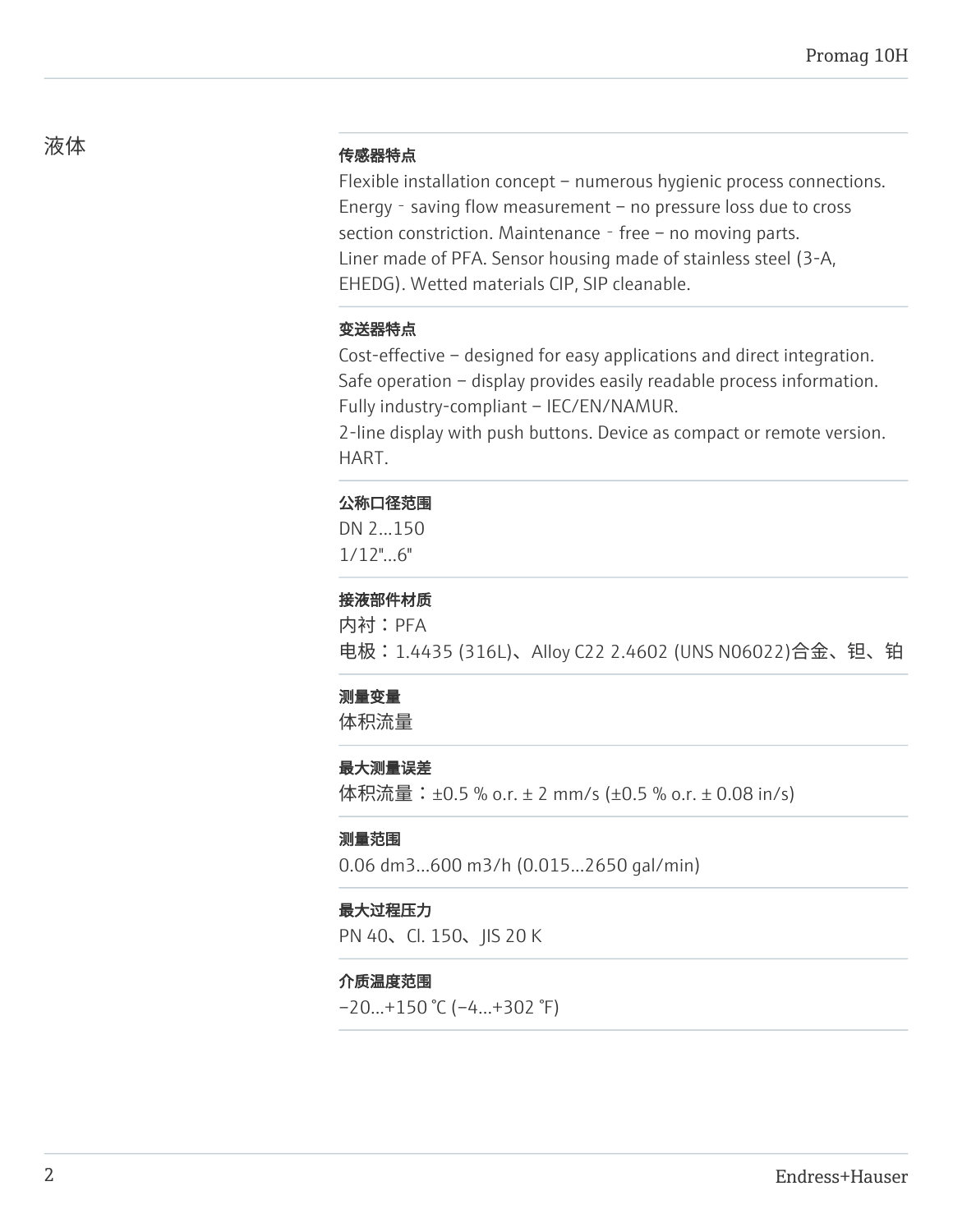# 液体 しゅうしゃ しゅうしゃ ちゅうしゃ 传感器特点

Flexible installation concept – numerous hygienic process connections. Energy - saving flow measurement – no pressure loss due to cross section constriction. Maintenance - free – no moving parts. Liner made of PFA. Sensor housing made of stainless steel (3-A, EHEDG). Wetted materials CIP, SIP cleanable.

#### 变送器特点

Cost-effective – designed for easy applications and direct integration. Safe operation – display provides easily readable process information. Fully industry-compliant – IEC/EN/NAMUR.

2-line display with push buttons. Device as compact or remote version. HART.

#### 公称口径范围

DN 2...150 1/12"...6"

### 接液部件材质

内衬:PFA 电极:1.4435 (316L)、Alloy C22 2.4602 (UNS N06022)合金、钽、铂

#### 测量变量

体积流量

#### 最大测量误差

体积流量:±0.5 % o.r. ± 2 mm/s (±0.5 % o.r. ± 0.08 in/s)

#### 测量范围

0.06 dm3...600 m3/h (0.015...2650 gal/min)

#### 最大过程压力

PN 40、Cl. 150、JIS 20 K

#### 介质温度范围

 $-20...+150$  °C ( $-4...+302$  °F)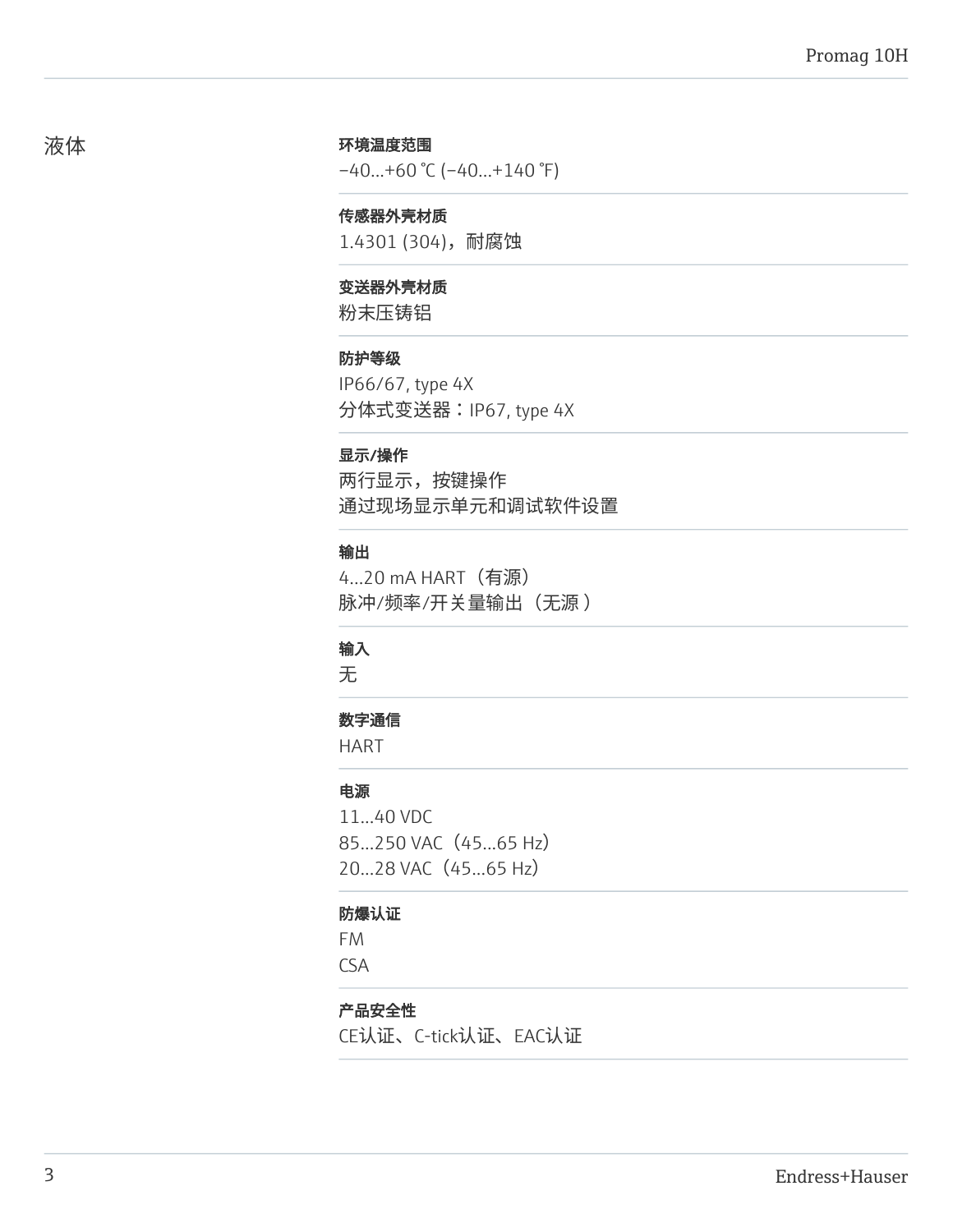#### 环境温度范围

 $-40...+60$  °C ( $-40...+140$  °F)

#### 传感器外壳材质

1.4301 (304),耐腐蚀

#### 变送器外壳材质

粉末压铸铝

#### 防护等级

IP66/67, type 4X 分体式变送器:IP67, type 4X

#### 显示/操作

两行显示,按键操作 通过现场显示单元和调试软件设置

#### 输出

4...20 mA HART(有源) 脉冲/频率/开关量输出(无源)

#### 输入

无

#### 数字通信

HART

## 电源

11...40 VDC 85...250 VAC (45...65 Hz) 20...28 VAC (45...65 Hz)

#### 防爆认证

FM

CSA

#### 产品安全性

CE认证、C-tick认证、EAC认证